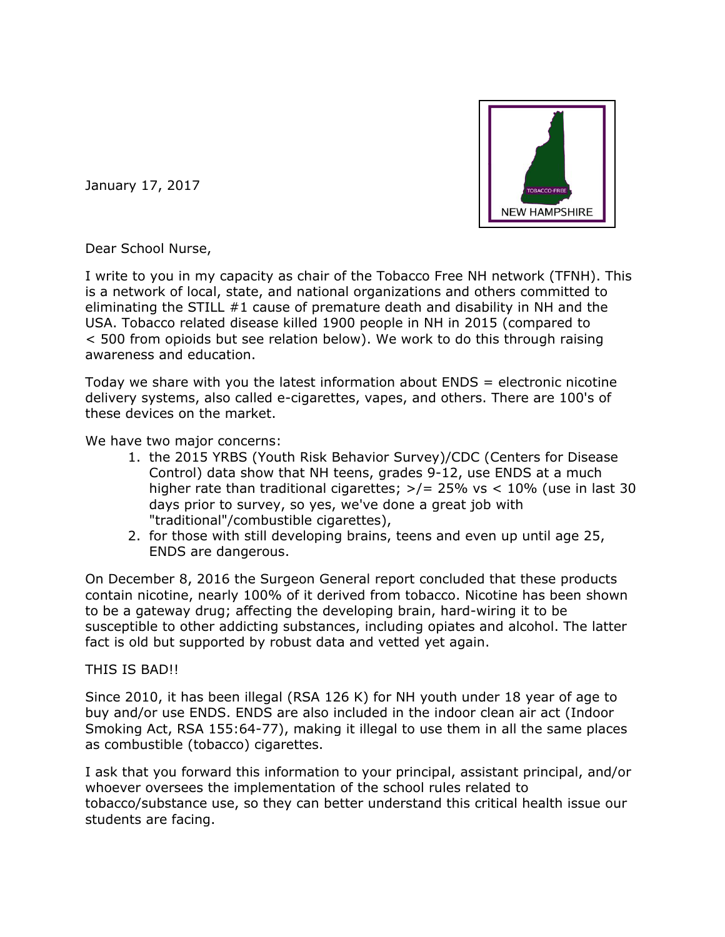

January 17, 2017

Dear School Nurse,

I write to you in my capacity as chair of the Tobacco Free NH network (TFNH). This is a network of local, state, and national organizations and others committed to eliminating the STILL #1 cause of premature death and disability in NH and the USA. Tobacco related disease killed 1900 people in NH in 2015 (compared to < 500 from opioids but see relation below). We work to do this through raising awareness and education.

Today we share with you the latest information about ENDS = electronic nicotine delivery systems, also called e-cigarettes, vapes, and others. There are 100's of these devices on the market.

We have two major concerns:

- 1. the 2015 YRBS (Youth Risk Behavior Survey)/CDC (Centers for Disease Control) data show that NH teens, grades 9-12, use ENDS at a much higher rate than traditional cigarettes;  $\frac{>}{=}$  25% vs < 10% (use in last 30 days prior to survey, so yes, we've done a great job with "traditional"/combustible cigarettes),
- 2. for those with still developing brains, teens and even up until age 25, ENDS are dangerous.

On December 8, 2016 the Surgeon General report concluded that these products contain nicotine, nearly 100% of it derived from tobacco. Nicotine has been shown to be a gateway drug; affecting the developing brain, hard-wiring it to be susceptible to other addicting substances, including opiates and alcohol. The latter fact is old but supported by robust data and vetted yet again.

## THIS IS BAD!!

Since 2010, it has been illegal (RSA 126 K) for NH youth under 18 year of age to buy and/or use ENDS. ENDS are also included in the indoor clean air act (Indoor Smoking Act, RSA 155:64-77), making it illegal to use them in all the same places as combustible (tobacco) cigarettes.

I ask that you forward this information to your principal, assistant principal, and/or whoever oversees the implementation of the school rules related to tobacco/substance use, so they can better understand this critical health issue our students are facing.